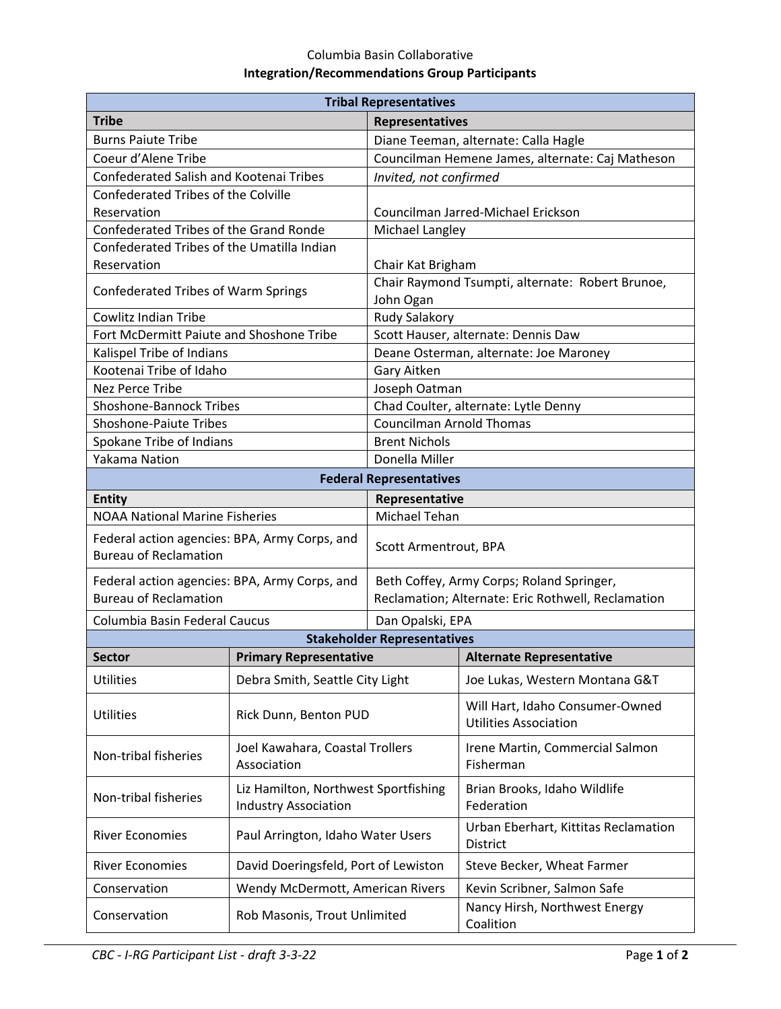## Columbia Basin Collaborative **Integration/Recommendations Group Participants**

| <b>Tribal Representatives</b>                                                 |                                                                     |                                                                                                 |                                                                 |  |
|-------------------------------------------------------------------------------|---------------------------------------------------------------------|-------------------------------------------------------------------------------------------------|-----------------------------------------------------------------|--|
| <b>Tribe</b>                                                                  |                                                                     | <b>Representatives</b>                                                                          |                                                                 |  |
| <b>Burns Paiute Tribe</b>                                                     |                                                                     | Diane Teeman, alternate: Calla Hagle                                                            |                                                                 |  |
| Coeur d'Alene Tribe                                                           |                                                                     | Councilman Hemene James, alternate: Caj Matheson                                                |                                                                 |  |
| Confederated Salish and Kootenai Tribes                                       |                                                                     | Invited, not confirmed                                                                          |                                                                 |  |
| <b>Confederated Tribes of the Colville</b>                                    |                                                                     |                                                                                                 |                                                                 |  |
| Reservation                                                                   |                                                                     |                                                                                                 | Councilman Jarred-Michael Erickson                              |  |
| Confederated Tribes of the Grand Ronde                                        |                                                                     | Michael Langley                                                                                 |                                                                 |  |
| Confederated Tribes of the Umatilla Indian                                    |                                                                     |                                                                                                 |                                                                 |  |
| Reservation                                                                   |                                                                     | Chair Kat Brigham<br>Chair Raymond Tsumpti, alternate: Robert Brunoe,                           |                                                                 |  |
| Confederated Tribes of Warm Springs                                           |                                                                     | John Ogan                                                                                       |                                                                 |  |
| <b>Cowlitz Indian Tribe</b>                                                   |                                                                     | Rudy Salakory                                                                                   |                                                                 |  |
| Fort McDermitt Paiute and Shoshone Tribe                                      |                                                                     | Scott Hauser, alternate: Dennis Daw                                                             |                                                                 |  |
| Kalispel Tribe of Indians                                                     |                                                                     | Deane Osterman, alternate: Joe Maroney                                                          |                                                                 |  |
| Kootenai Tribe of Idaho                                                       |                                                                     | Gary Aitken                                                                                     |                                                                 |  |
| <b>Nez Perce Tribe</b>                                                        |                                                                     | Joseph Oatman                                                                                   |                                                                 |  |
| <b>Shoshone-Bannock Tribes</b>                                                |                                                                     | Chad Coulter, alternate: Lytle Denny                                                            |                                                                 |  |
| <b>Shoshone-Paiute Tribes</b>                                                 |                                                                     | <b>Councilman Arnold Thomas</b>                                                                 |                                                                 |  |
| Spokane Tribe of Indians                                                      |                                                                     | <b>Brent Nichols</b>                                                                            |                                                                 |  |
| Yakama Nation<br>Donella Miller                                               |                                                                     |                                                                                                 |                                                                 |  |
| <b>Federal Representatives</b>                                                |                                                                     |                                                                                                 |                                                                 |  |
| <b>Entity</b><br>Representative                                               |                                                                     |                                                                                                 |                                                                 |  |
| <b>NOAA National Marine Fisheries</b>                                         |                                                                     | Michael Tehan                                                                                   |                                                                 |  |
| Federal action agencies: BPA, Army Corps, and<br><b>Bureau of Reclamation</b> |                                                                     | Scott Armentrout, BPA                                                                           |                                                                 |  |
| Federal action agencies: BPA, Army Corps, and<br><b>Bureau of Reclamation</b> |                                                                     | Beth Coffey, Army Corps; Roland Springer,<br>Reclamation; Alternate: Eric Rothwell, Reclamation |                                                                 |  |
| Columbia Basin Federal Caucus                                                 |                                                                     | Dan Opalski, EPA                                                                                |                                                                 |  |
| <b>Stakeholder Representatives</b>                                            |                                                                     |                                                                                                 |                                                                 |  |
| <b>Sector</b>                                                                 | <b>Primary Representative</b>                                       |                                                                                                 | <b>Alternate Representative</b>                                 |  |
| <b>Utilities</b>                                                              | Debra Smith, Seattle City Light                                     |                                                                                                 | Joe Lukas, Western Montana G&T                                  |  |
| <b>Utilities</b>                                                              | Rick Dunn, Benton PUD                                               |                                                                                                 | Will Hart, Idaho Consumer-Owned<br><b>Utilities Association</b> |  |
| Non-tribal fisheries                                                          | Joel Kawahara, Coastal Trollers<br>Association                      |                                                                                                 | Irene Martin, Commercial Salmon<br>Fisherman                    |  |
| Non-tribal fisheries                                                          | Liz Hamilton, Northwest Sportfishing<br><b>Industry Association</b> |                                                                                                 | Brian Brooks, Idaho Wildlife<br>Federation                      |  |
| <b>River Economies</b>                                                        | Paul Arrington, Idaho Water Users                                   |                                                                                                 | Urban Eberhart, Kittitas Reclamation<br>District                |  |
| <b>River Economies</b>                                                        | David Doeringsfeld, Port of Lewiston                                |                                                                                                 | Steve Becker, Wheat Farmer                                      |  |
| Conservation                                                                  | Wendy McDermott, American Rivers                                    |                                                                                                 | Kevin Scribner, Salmon Safe                                     |  |
| Conservation                                                                  | Rob Masonis, Trout Unlimited                                        |                                                                                                 | Nancy Hirsh, Northwest Energy<br>Coalition                      |  |